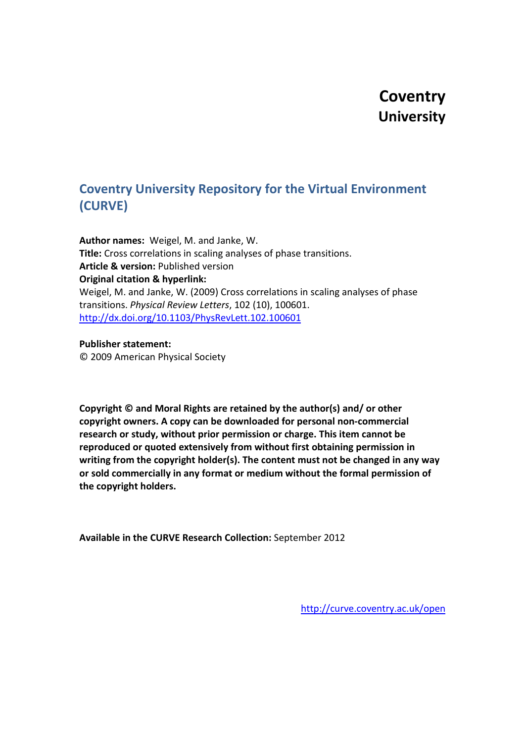## **Coventry University**

## **Coventry University Repository for the Virtual Environment (CURVE)**

**Author names:** Weigel, M. and Janke, W. **Title:** Cross correlations in scaling analyses of phase transitions. **Article & version:** Published version **Original citation & hyperlink:** Weigel, M. and Janke, W. (2009) Cross correlations in scaling analyses of phase transitions. *Physical Review Letters*, 102 (10), 100601. <http://dx.doi.org/10.1103/PhysRevLett.102.100601>

## **Publisher statement:**

© 2009 American Physical Society

**Copyright © and Moral Rights are retained by the author(s) and/ or other copyright owners. A copy can be downloaded for personal non-commercial research or study, without prior permission or charge. This item cannot be reproduced or quoted extensively from without first obtaining permission in writing from the copyright holder(s). The content must not be changed in any way or sold commercially in any format or medium without the formal permission of the copyright holders.**

**Available in the CURVE Research Collection:** September 2012

<http://curve.coventry.ac.uk/open>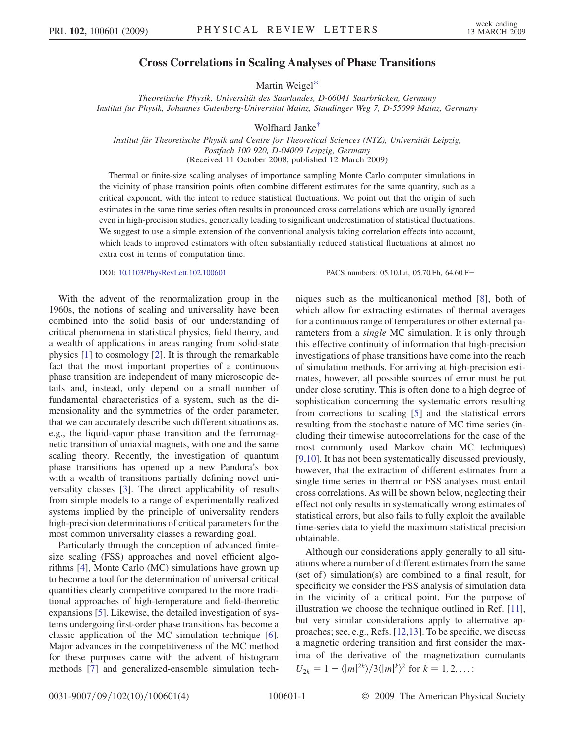## Cross Correlations in Scaling Analyses of Phase Transitions

Martin Weigel[\\*](#page-4-0)

Theoretische Physik, Universität des Saarlandes, D-66041 Saarbrücken, Germany Institut für Physik, Johannes Gutenberg-Universität Mainz, Staudinger Weg 7, D-55099 Mainz, Germany

Wolfhard Jank[e†](#page-4-0)

Institut für Theoretische Physik and Centre for Theoretical Sciences (NTZ), Universität Leipzig, Postfach 100 920, D-04009 Leipzig, Germany (Received 11 October 2008; published 12 March 2009)

Thermal or finite-size scaling analyses of importance sampling Monte Carlo computer simulations in the vicinity of phase transition points often combine different estimates for the same quantity, such as a critical exponent, with the intent to reduce statistical fluctuations. We point out that the origin of such estimates in the same time series often results in pronounced cross correlations which are usually ignored even in high-precision studies, generically leading to significant underestimation of statistical fluctuations. We suggest to use a simple extension of the conventional analysis taking correlation effects into account, which leads to improved estimators with often substantially reduced statistical fluctuations at almost no extra cost in terms of computation time.

DOI: [10.1103/PhysRevLett.102.100601](http://dx.doi.org/10.1103/PhysRevLett.102.100601) PACS numbers: 05.10.Ln, 05.70.Fh, 64.60.F

With the advent of the renormalization group in the 1960s, the notions of scaling and universality have been combined into the solid basis of our understanding of critical phenomena in statistical physics, field theory, and a wealth of applications in areas ranging from solid-state physics [1] to cosmology [2]. It is through the remarkable fact that the most important properties of a continuous phase transition are independent of many microscopic details and, instead, only depend on a small number of fundamental characteristics of a system, such as the dimensionality and the symmetries of the order parameter, that we can accurately describe such different situations as, e.g., the liquid-vapor phase transition and the ferromagnetic transition of uniaxial magnets, with one and the same scaling theory. Recently, the investigation of quantum phase transitions has opened up a new Pandora's box with a wealth of transitions partially defining novel universality classes [3]. The direct applicability of results from simple models to a range of experimentally realized systems implied by the principle of universality renders high-precision determinations of critical parameters for the most common universality classes a rewarding goal.

Particularly through the conception of advanced finitesize scaling (FSS) approaches and novel efficient algorithms [4], Monte Carlo (MC) simulations have grown up to become a tool for the determination of universal critical quantities clearly competitive compared to the more traditional approaches of high-temperature and field-theoretic expansions [5]. Likewise, the detailed investigation of systems undergoing first-order phase transitions has become a classic application of the MC simulation technique [6]. Major advances in the competitiveness of the MC method for these purposes came with the advent of histogram methods [7] and generalized-ensemble simulation techniques such as the multicanonical method [8], both of which allow for extracting estimates of thermal averages for a continuous range of temperatures or other external parameters from a *single* MC simulation. It is only through this effective continuity of information that high-precision investigations of phase transitions have come into the reach of simulation methods. For arriving at high-precision estimates, however, all possible sources of error must be put under close scrutiny. This is often done to a high degree of sophistication concerning the systematic errors resulting from corrections to scaling [5] and the statistical errors resulting from the stochastic nature of MC time series (including their timewise autocorrelations for the case of the most commonly used Markov chain MC techniques) [9,10]. It has not been systematically discussed previously, however, that the extraction of different estimates from a single time series in thermal or FSS analyses must entail cross correlations. As will be shown below, neglecting their effect not only results in systematically wrong estimates of statistical errors, but also fails to fully exploit the available time-series data to yield the maximum statistical precision obtainable.

Although our considerations apply generally to all situations where a number of different estimates from the same (set of) simulation(s) are combined to a final result, for specificity we consider the FSS analysis of simulation data in the vicinity of a critical point. For the purpose of illustration we choose the technique outlined in Ref. [11], but very similar considerations apply to alternative approaches; see, e.g., Refs. [12,13]. To be specific, we discuss a magnetic ordering transition and first consider the maxima of the derivative of the magnetization cumulants  $U_{2k} = 1 - \langle |m|^{2k} \rangle / 3 \langle |m|^{k}$  $\}^2$  for  $k = 1, 2, ...$ :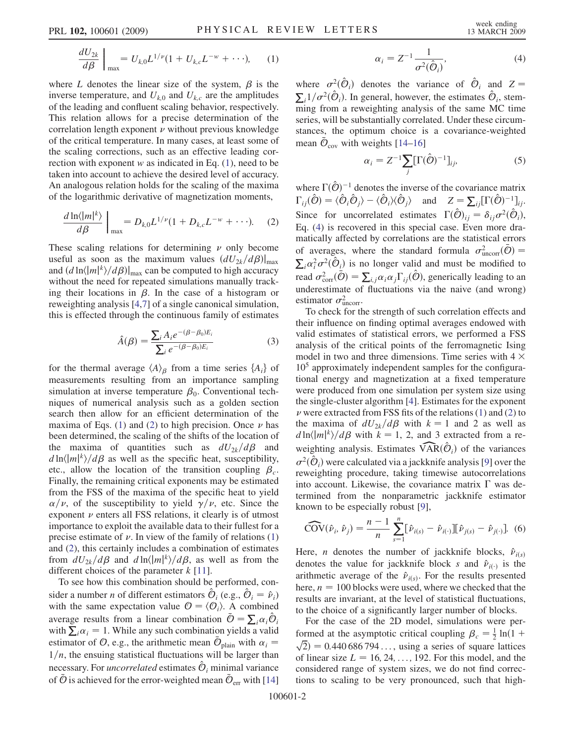<span id="page-2-0"></span>
$$
\frac{dU_{2k}}{d\beta}\Big|_{\text{max}} = U_{k,0}L^{1/\nu}(1 + U_{k,c}L^{-w} + \cdots), \quad (1)
$$

where L denotes the linear size of the system,  $\beta$  is the inverse temperature, and  $U_{k,0}$  and  $U_{k,c}$  are the amplitudes of the leading and confluent scaling behavior, respectively. This relation allows for a precise determination of the correlation length exponent  $\overrightarrow{\nu}$  without previous knowledge of the critical temperature. In many cases, at least some of the scaling corrections, such as an effective leading correction with exponent w as indicated in Eq.  $(1)$  $(1)$  $(1)$ , need to be taken into account to achieve the desired level of accuracy. An analogous relation holds for the scaling of the maxima of the logarithmic derivative of magnetization moments,

<span id="page-2-1"></span>
$$
\frac{d\ln\langle|m|^k\rangle}{d\beta}\bigg|_{\text{max}} = D_{k,0}L^{1/\nu}(1 + D_{k,c}L^{-w} + \cdots). \quad (2)
$$

These scaling relations for determining  $\nu$  only become useful as soon as the maximum values  $(dU_{2k}/d\beta)|_{\text{max}}$ and  $\left(d \ln \langle |m|^k \rangle / d\beta \right)|_{\text{max}}$  can be computed to high accuracy<br>without the need for repeated simulations manually trackwithout the need for repeated simulations manually tracking their locations in  $\beta$ . In the case of a histogram or reweighting analysis [4,7] of a single canonical simulation, this is effected through the continuous family of estimates

$$
\hat{A}(\beta) = \frac{\sum_{i} A_i e^{-(\beta - \beta_0)E_i}}{\sum_{i} e^{-(\beta - \beta_0)E_i}}
$$
(3)

for the thermal average  $\langle A \rangle_{\beta}$  from a time series  $\{A_i\}$  of measurements resulting from an importance sampling simulation at inverse temperature  $\beta_0$ . Conventional techniques of numerical analysis such as a golden section search then allow for an efficient determination of the maxima of Eqs. ([1](#page-2-0)) and [\(2\)](#page-2-1) to high precision. Once  $\nu$  has been determined, the scaling of the shifts of the location of the maxima of quantities such as  $dU_{2k}/d\beta$  and  $d \ln \langle |m|^k \rangle / d\beta$  as well as the specific heat, susceptibility,<br>etc. allow the location of the transition counling  $\beta$ etc., allow the location of the transition coupling  $\beta_c$ . Finally, the remaining critical exponents may be estimated from the FSS of the maxima of the specific heat to yield  $\alpha/\nu$ , of the susceptibility to yield  $\gamma/\nu$ , etc. Since the exponent  $\nu$  enters all FSS relations, it clearly is of utmost importance to exploit the available data to their fullest for a precise estimate of  $\nu$ . In view of the family of relations [\(1\)](#page-2-0) and [\(2\)](#page-2-1), this certainly includes a combination of estimates from  $dU_{2k}/d\beta$  and  $d \ln \langle |m|^k \rangle / d\beta$ , as well as from the different choices of the parameter k [11] different choices of the parameter  $k$  [11].

To see how this combination should be performed, consider a number *n* of different estimators  $\hat{\mathcal{O}}_i$  (e.g.,  $\hat{\mathcal{O}}_i = \hat{\mathcal{V}}_i$ ) with the same expectation value  $\mathcal{O} = \langle \mathcal{O} \rangle$ . A combined with the same expectation value  $\mathcal{O} = \langle \mathcal{O}_i \rangle$ . A combined with the same expectation value  $\mathcal{O} = \langle \mathcal{O}_i \rangle$ . A combined<br>average results from a linear combination  $\bar{\mathcal{O}} = \sum_i \alpha_i \hat{\mathcal{O}}_i$ <br>with  $\sum_i \alpha_i = 1$  While any such combination vields a valid average results from a linear combination  $\mathcal{O} = \sum_i \alpha_i \mathcal{O}_i$ <br>with  $\sum_i \alpha_i = 1$ . While any such combination yields a valid<br>estimator of  $\mathcal{O}$  e.g., the arithmetic mean  $\bar{\mathcal{O}}$  , with  $\alpha =$ estimator of  $\mathcal{O}$ , e.g., the arithmetic mean  $\mathcal{O}_{\text{plain}}$  with  $\alpha_i$  =  $1/n$ , the ensuing statistical fluctuations will be larger than necessary. For *uncorrelated* estimates  $\hat{\mathcal{O}}_i$  minimal variance of  $\mathcal O$  is achieved for the error-weighted mean  $\mathcal O_{\text{err}}$  with [14]

$$
\alpha_i = Z^{-1} \frac{1}{\sigma^2(\hat{\mathcal{O}}_i)},\tag{4}
$$

<span id="page-2-2"></span>where  $\sigma^2(\hat{\mathcal{O}}_i)$  denotes the variance of  $\hat{\mathcal{O}}_i$  and  $Z = \sum_{i=1}^{\infty} 1/\sigma^2(\hat{\mathcal{O}}_i)$ . In concrete housing the estimates  $\hat{\mathcal{O}}_i$  atom  $\sum_i 1/\sigma^2(\hat{O}_i)$ . In general, however, the estimates  $\hat{O}_i$ , stemming from a reweighting analysis of the same MC time series, will be substantially correlated. Under these circumstances, the optimum choice is a covariance-weighted mean  $\bar{\mathcal{O}}_{\text{cov}}$  with weights [14–16]

$$
\alpha_i = Z^{-1} \sum_{j} [\Gamma(\hat{\mathcal{O}})^{-1}]_{ij}, \tag{5}
$$

where  $\Gamma(\hat{O})^{-1}$  denotes the inverse of the covariance matrix<br> $\Gamma(\hat{O}) = \langle \hat{O}, \hat{O} \rangle$ where  $\Gamma(\theta)$  denotes the inverse of the covariance matrix<br>  $\Gamma_{ij}(\hat{\theta}) = \langle \hat{\theta}_i \hat{\theta}_j \rangle - \langle \hat{\theta}_i \rangle \langle \hat{\theta}_j \rangle$  and  $Z = \sum_{ij} [\Gamma(\hat{\theta})^{-1}]_{ij}$ . Since for uncorrelated estimates  $\Gamma(\hat{\mathcal{O}})_{ij} = \delta_{ij}\sigma^2(\hat{\mathcal{O}}_i)$ ,<br>Eq. (4) is recovered in this special case. Even more dra-Eq. [\(4\)](#page-2-2) is recovered in this special case. Even more dramatically affected by correlations are the statistical errors of averages, where the standard formula  $\sigma_{\text{uncorr}}^2(\bar{\phi}) = \sum_{n=1}^{\infty} a_n^2 \sigma_n^2(\hat{\phi})$  is no longer valid and must be modified to  $i\alpha_i^2 \sigma^2(\hat{O}_i)$  is no longer valid and must be modified to  $i\alpha_i^2 \sigma^2(\hat{O}) = \sum_{\alpha, \alpha \in \Gamma} (\hat{O})$  congrigally loading to an  $\sum_i \alpha_i^2 \sigma^2 (\vec{C}_i)$  is no longer vand and must be modified to<br>read  $\sigma_{\text{corr}}^2(\vec{O}) = \sum_{i,j} \alpha_i \alpha_j \Gamma_{ij}(\hat{O})$ , generically leading to an underestimate of fluctuations via the naive (and wrong) estimator  $\sigma_{\text{uncorr}}^2$ .

To check for the strength of such correlation effects and their influence on finding optimal averages endowed with valid estimates of statistical errors, we performed a FSS analysis of the critical points of the ferromagnetic Ising model in two and three dimensions. Time series with  $4 \times$  $10<sup>5</sup>$  approximately independent samples for the configurational energy and magnetization at a fixed temperature were produced from one simulation per system size using the single-cluster algorithm [4]. Estimates for the exponent  $\nu$  were extracted from FSS fits of the relations ([1\)](#page-2-0) and [\(2](#page-2-1)) to the maxima of  $dU_{2k}/d\beta$  with  $k = 1$  and 2 as well as  $d \ln \langle |m|^k \rangle / d\beta$  with  $k = 1, 2$ , and 3 extracted from a reweighting analysis. Estimates  $\widehat{VAR}(\hat{O}_i)$  of the variances  $\sigma^2(\hat{\mathcal{O}}_i)$  were calculated via a jackknife analysis [9] over the reweighting procedure taking timewise autocorrelations reweighting procedure, taking timewise autocorrelations into account. Likewise, the covariance matrix  $\Gamma$  was determined from the nonparametric jackknife estimator known to be especially robust [9],

<span id="page-2-3"></span>
$$
\widehat{\text{COV}}(\hat{\nu}_i, \hat{\nu}_j) = \frac{n-1}{n} \sum_{s=1}^n [\hat{\nu}_{i(s)} - \hat{\nu}_{i(\cdot)}] [\hat{\nu}_{j(s)} - \hat{\nu}_{j(\cdot)}].
$$
 (6)

Here, *n* denotes the number of jackknife blocks,  $\hat{v}_{i(s)}$  denotes the value for jackknife block s and  $\hat{v}_{i(s)}$  is the denotes the value for jackknife block s and  $\hat{v}_{i(\cdot)}$  is the equitary of the form the results presented arithmetic average of the  $\hat{v}_{i(s)}$ . For the results presented<br>here  $n = 100$  blocks were used, where we shocked that the here,  $n = 100$  blocks were used, where we checked that the results are invariant, at the level of statistical fluctuations, to the choice of a significantly larger number of blocks.

For the case of the 2D model, simulations were performed at the asymptotic critical coupling  $\beta_c = \frac{1}{2} \ln(1 + \sqrt{2}) = 0.440686704$  uning a series of square lattices  $\sqrt{2}$  = 0.440 686 794 ..., using a series of square lattices<br>of linear size  $L = 16.24$  192 For this model and the of linear size  $L = 16, 24, \ldots, 192$ . For this model, and the considered range of system sizes, we do not find corrections to scaling to be very pronounced, such that high-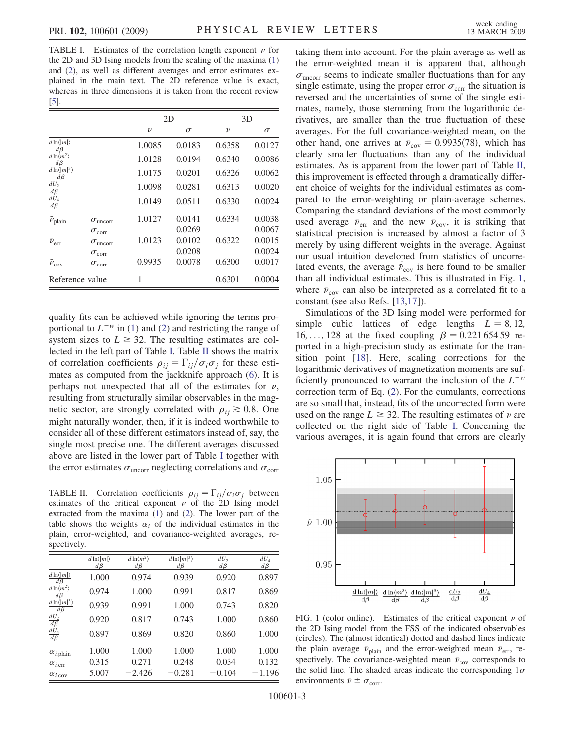TABLE I. Estimates of the correlation length exponent  $\nu$  for the 2D and 3D Ising models from the scaling of the maxima [\(1\)](#page-2-0) and ([2\)](#page-2-1), as well as different averages and error estimates explained in the main text. The 2D reference value is exact, whereas in three dimensions it is taken from the recent review [5].

|                                                        |                          | 2D     |          | 3D     |          |
|--------------------------------------------------------|--------------------------|--------|----------|--------|----------|
|                                                        |                          | $\nu$  | $\sigma$ | $\nu$  | $\sigma$ |
| $d \ln \langle  m  \rangle$<br>$d\beta$                |                          | 1.0085 | 0.0183   | 0.6358 | 0.0127   |
| $d\ln\langle m^2\rangle$<br>$d\beta$                   |                          | 1.0128 | 0.0194   | 0.6340 | 0.0086   |
| $d \ln \langle  m ^3 \rangle$<br>$d\beta$              |                          | 1.0175 | 0.0201   | 0.6326 | 0.0062   |
|                                                        |                          | 1.0098 | 0.0281   | 0.6313 | 0.0020   |
| $\frac{dU_2}{d\beta} \nonumber \\ \frac{dU_4}{d\beta}$ |                          | 1.0149 | 0.0511   | 0.6330 | 0.0024   |
| $\bar{\nu}_{\rm plan}$                                 | $\sigma_{\text{uncorr}}$ | 1.0127 | 0.0141   | 0.6334 | 0.0038   |
|                                                        | $\sigma_{\rm corr}$      |        | 0.0269   |        | 0.0067   |
| $\bar{\nu}_{\rm err}$                                  | $\sigma_{\text{uncorr}}$ | 1.0123 | 0.0102   | 0.6322 | 0.0015   |
|                                                        | $\sigma_{\rm corr}$      |        | 0.0208   |        | 0.0024   |
| $\bar{\nu}_{\rm cov}$                                  | $\sigma_{\rm corr}$      | 0.9935 | 0.0078   | 0.6300 | 0.0017   |
| Reference value                                        |                          | 1      |          | 0.6301 | 0.0004   |

quality fits can be achieved while ignoring the terms proportional to  $L^{-w}$  in [\(1](#page-2-0)) and [\(2](#page-2-1)) and restricting the range of system sizes to  $L \geq 32$ . The resulting estimates are collected in the left part of Table I. Table II shows the matrix of correlation coefficients  $\rho_{ij} = \Gamma_{ij}/\sigma_i \sigma_j$  for these esti-<br>mates as computed from the jackknife approach (6). It is mates as computed from the jackknife approach [\(6\)](#page-2-3). It is perhaps not unexpected that all of the estimates for  $\nu$ , resulting from structurally similar observables in the magnetic sector, are strongly correlated with  $\rho_{ii} \ge 0.8$ . One might naturally wonder, then, if it is indeed worthwhile to consider all of these different estimators instead of, say, the single most precise one. The different averages discussed above are listed in the lower part of Table I together with the error estimates  $\sigma_{\text{uncorr}}$  neglecting correlations and  $\sigma_{\text{corr}}$ 

TABLE II. Correlation coefficients  $\rho_{ij} = \Gamma_{ij}/\sigma_i \sigma_j$  between<br>estimates of the critical exponent  $\nu$  of the 2D Ising model estimates of the critical exponent  $\nu$  of the 2D Ising model extracted from the maxima [\(1](#page-2-0)) and ([2](#page-2-1)). The lower part of the table shows the weights  $\alpha_i$  of the individual estimates in the plain, error-weighted, and covariance-weighted averages, respectively.

|                                           | $d \ln \langle  m  \rangle$<br>$d\beta$ | $\underline{d\ln\langle m^2\rangle}$<br>$d\beta$ | $d \ln \langle  m ^3 \rangle$<br>$d\beta$ | $\frac{dU_2}{d\beta}$ | $\frac{dU_4}{d\beta}$ |
|-------------------------------------------|-----------------------------------------|--------------------------------------------------|-------------------------------------------|-----------------------|-----------------------|
| $d \ln \langle  m  \rangle$<br>$d\beta$   | 1.000                                   | 0.974                                            | 0.939                                     | 0.920                 | 0.897                 |
| $d\ln\langle m^2\rangle$<br>$d\beta$      | 0.974                                   | 1.000                                            | 0.991                                     | 0.817                 | 0.869                 |
| $d \ln \langle  m ^3 \rangle$<br>$d\beta$ | 0.939                                   | 0.991                                            | 1.000                                     | 0.743                 | 0.820                 |
| $\frac{dU_2}{d\beta}$                     | 0.920                                   | 0.817                                            | 0.743                                     | 1.000                 | 0.860                 |
| $\frac{dU_4}{d\beta}$                     | 0.897                                   | 0.869                                            | 0.820                                     | 0.860                 | 1.000                 |
| $\alpha_{i, \text{plain}}$                | 1.000                                   | 1.000                                            | 1.000                                     | 1.000                 | 1.000                 |
| $\alpha_{i,err}$                          | 0.315                                   | 0.271                                            | 0.248                                     | 0.034                 | 0.132                 |
| $\alpha_{i, \text{cov}}$                  | 5.007                                   | $-2.426$                                         | $-0.281$                                  | $-0.104$              | $-1.196$              |

taking them into account. For the plain average as well as the error-weighted mean it is apparent that, although  $\sigma_{\text{uncorr}}$  seems to indicate smaller fluctuations than for any single estimate, using the proper error  $\sigma_{\text{corr}}$  the situation is reversed and the uncertainties of some of the single estimates, namely, those stemming from the logarithmic derivatives, are smaller than the true fluctuation of these averages. For the full covariance-weighted mean, on the other hand, one arrives at  $\bar{\nu}_{cov} = 0.9935(78)$ , which has clearly smaller fluctuations than any of the individual clearly smaller fluctuations than any of the individual estimates. As is apparent from the lower part of Table II, this improvement is effected through a dramatically different choice of weights for the individual estimates as compared to the error-weighting or plain-average schemes. Comparing the standard deviations of the most commonly used average  $\bar{\nu}_{\text{err}}$  and the new  $\bar{\nu}_{\text{cov}}$ , it is striking that statistical precision is increased by almost a factor of 3 merely by using different weights in the average. Against our usual intuition developed from statistics of uncorrelated events, the average  $\bar{p}_{cov}$  is here found to be smaller than all individual estimates. This is illustrated in Fig. 1, where  $\bar{v}_{\text{cov}}$  can also be interpreted as a correlated fit to a constant (see also Refs. [13,17]).

Simulations of the 3D Ising model were performed for simple cubic lattices of edge lengths  $L = 8, 12,$ 16, ..., 128 at the fixed coupling  $\beta = 0.22165459$  reported in a high-precision study as estimate for the transition point [18]. Here, scaling corrections for the logarithmic derivatives of magnetization moments are sufficiently pronounced to warrant the inclusion of the  $L^{-w}$ correction term of Eq. [\(2](#page-2-1)). For the cumulants, corrections are so small that, instead, fits of the uncorrected form were used on the range  $L \geq 32$ . The resulting estimates of  $\nu$  are collected on the right side of Table I. Concerning the collected on the right side of Table I. Concerning the various averages, it is again found that errors are clearly



FIG. 1 (color online). Estimates of the critical exponent  $\nu$  of the 2D Ising model from the FSS of the indicated observables (circles). The (almost identical) dotted and dashed lines indicate the plain average  $\bar{\nu}_{\text{plain}}$  and the error-weighted mean  $\bar{\nu}_{\text{err}}$ , respectively. The covariance-weighted mean  $\bar{v}_{\text{cov}}$  corresponds to the solid line. The shaded areas indicate the corresponding  $1\sigma$ environments  $\bar{\nu} \pm \sigma_{\text{corr}}$ .